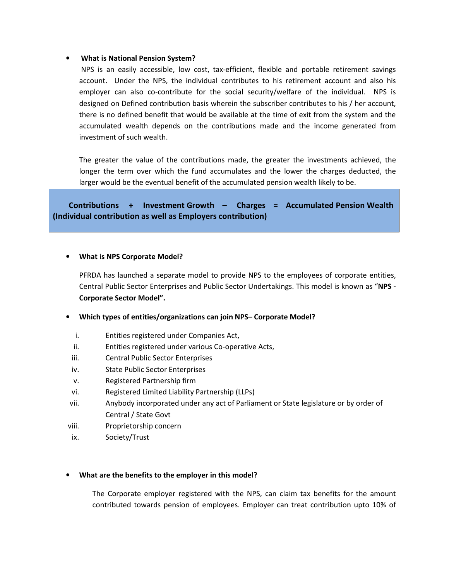### • **What is National Pension System?**

 NPS is an easily accessible, low cost, tax-efficient, flexible and portable retirement savings account. Under the NPS, the individual contributes to his retirement account and also his employer can also co-contribute for the social security/welfare of the individual. NPS is designed on Defined contribution basis wherein the subscriber contributes to his / her account, there is no defined benefit that would be available at the time of exit from the system and the accumulated wealth depends on the contributions made and the income generated from investment of such wealth.

The greater the value of the contributions made, the greater the investments achieved, the longer the term over which the fund accumulates and the lower the charges deducted, the larger would be the eventual benefit of the accumulated pension wealth likely to be.

 **Contributions + Investment Growth – Charges = Accumulated Pension Wealth (Individual contribution as well as Employers contribution)** 

### • **What is NPS Corporate Model?**

PFRDA has launched a separate model to provide NPS to the employees of corporate entities, Central Public Sector Enterprises and Public Sector Undertakings. This model is known as "**NPS - Corporate Sector Model".** 

# • **Which types of entities/organizations can join NPS– Corporate Model?**

- i. Entities registered under Companies Act,
- ii. Entities registered under various Co-operative Acts,
- iii. Central Public Sector Enterprises
- iv. State Public Sector Enterprises
- v. Registered Partnership firm
- vi. Registered Limited Liability Partnership (LLPs)
- vii. Anybody incorporated under any act of Parliament or State legislature or by order of Central / State Govt
- viii. Proprietorship concern
- ix. Society/Trust

### • **What are the benefits to the employer in this model?**

The Corporate employer registered with the NPS, can claim tax benefits for the amount contributed towards pension of employees. Employer can treat contribution upto 10% of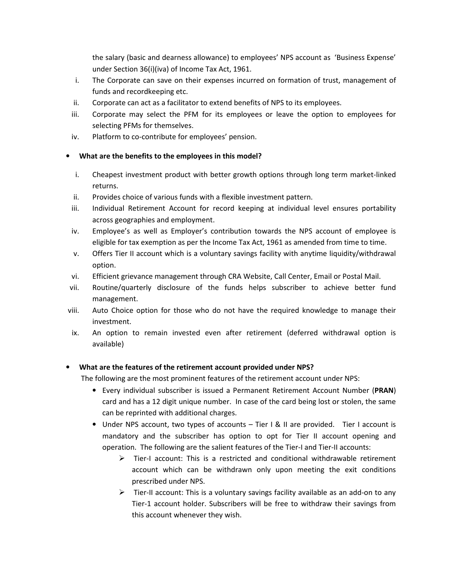the salary (basic and dearness allowance) to employees' NPS account as 'Business Expense' under Section 36(i)(iva) of Income Tax Act, 1961.

- i. The Corporate can save on their expenses incurred on formation of trust, management of funds and recordkeeping etc.
- ii. Corporate can act as a facilitator to extend benefits of NPS to its employees.
- iii. Corporate may select the PFM for its employees or leave the option to employees for selecting PFMs for themselves.
- iv. Platform to co-contribute for employees' pension.

# • **What are the benefits to the employees in this model?**

- i. Cheapest investment product with better growth options through long term market-linked returns.
- ii. Provides choice of various funds with a flexible investment pattern.
- iii. Individual Retirement Account for record keeping at individual level ensures portability across geographies and employment.
- iv. Employee's as well as Employer's contribution towards the NPS account of employee is eligible for tax exemption as per the Income Tax Act, 1961 as amended from time to time.
- v. Offers Tier II account which is a voluntary savings facility with anytime liquidity/withdrawal option.
- vi. Efficient grievance management through CRA Website, Call Center, Email or Postal Mail.
- vii. Routine/quarterly disclosure of the funds helps subscriber to achieve better fund management.
- viii. Auto Choice option for those who do not have the required knowledge to manage their investment.
- ix. An option to remain invested even after retirement (deferred withdrawal option is available)

# • **What are the features of the retirement account provided under NPS?**

The following are the most prominent features of the retirement account under NPS:

- Every individual subscriber is issued a Permanent Retirement Account Number (**PRAN**) card and has a 12 digit unique number. In case of the card being lost or stolen, the same can be reprinted with additional charges.
- Under NPS account, two types of accounts Tier I & II are provided. Tier I account is mandatory and the subscriber has option to opt for Tier II account opening and operation. The following are the salient features of the Tier-I and Tier-II accounts:
	- $\triangleright$  Tier-I account: This is a restricted and conditional withdrawable retirement account which can be withdrawn only upon meeting the exit conditions prescribed under NPS.
	- $\triangleright$  Tier-II account: This is a voluntary savings facility available as an add-on to any Tier-1 account holder. Subscribers will be free to withdraw their savings from this account whenever they wish.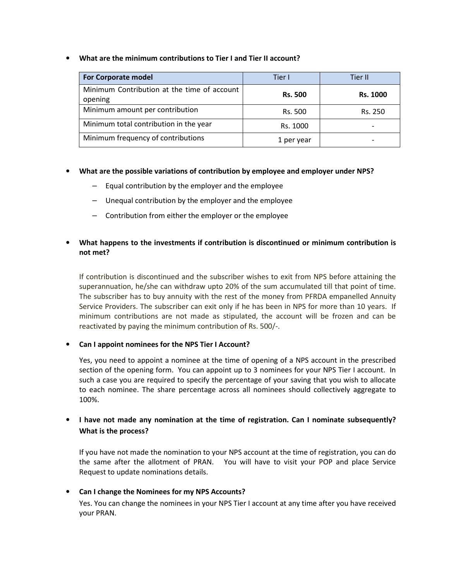• **What are the minimum contributions to Tier I and Tier II account?** 

| <b>For Corporate model</b>                             | Tier I         | Tier II                  |  |
|--------------------------------------------------------|----------------|--------------------------|--|
| Minimum Contribution at the time of account<br>opening | <b>Rs. 500</b> | <b>Rs. 1000</b>          |  |
| Minimum amount per contribution                        | Rs. 500        | Rs. 250                  |  |
| Minimum total contribution in the year                 | Rs. 1000       | $\overline{\phantom{0}}$ |  |
| Minimum frequency of contributions                     | 1 per year     | $\overline{\phantom{0}}$ |  |

- **What are the possible variations of contribution by employee and employer under NPS?** 
	- Equal contribution by the employer and the employee
	- Unequal contribution by the employer and the employee
	- Contribution from either the employer or the employee

# • **What happens to the investments if contribution is discontinued or minimum contribution is not met?**

If contribution is discontinued and the subscriber wishes to exit from NPS before attaining the superannuation, he/she can withdraw upto 20% of the sum accumulated till that point of time. The subscriber has to buy annuity with the rest of the money from PFRDA empanelled Annuity Service Providers. The subscriber can exit only if he has been in NPS for more than 10 years. If minimum contributions are not made as stipulated, the account will be frozen and can be reactivated by paying the minimum contribution of Rs. 500/-.

• **Can I appoint nominees for the NPS Tier I Account?** 

Yes, you need to appoint a nominee at the time of opening of a NPS account in the prescribed section of the opening form. You can appoint up to 3 nominees for your NPS Tier I account. In such a case you are required to specify the percentage of your saving that you wish to allocate to each nominee. The share percentage across all nominees should collectively aggregate to 100%.

# • **I have not made any nomination at the time of registration. Can I nominate subsequently? What is the process?**

If you have not made the nomination to your NPS account at the time of registration, you can do the same after the allotment of PRAN. You will have to visit your POP and place Service Request to update nominations details.

# • **Can I change the Nominees for my NPS Accounts?**

Yes. You can change the nominees in your NPS Tier I account at any time after you have received your PRAN.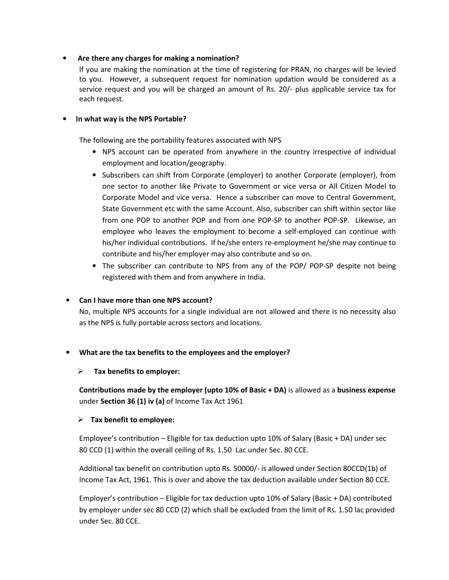### • **Are there any charges for making a nomination?**

If you are making the nomination at the time of registering for PRAN, no charges will be levied to you. However, a subsequent request for nomination updation would be considered as a service request and you will be charged an amount of Rs. 20/- plus applicable service tax for each request.

### • **In what way is the NPS Portable?**

The following are the portability features associated with NPS

- NPS account can be operated from anywhere in the country irrespective of individual employment and location/geography.
- Subscribers can shift from Corporate (employer) to another Corporate (employer), from one sector to another like Private to Government or vice versa or All Citizen Model to Corporate Model and vice versa. Hence a subscriber can move to Central Government, State Government etc with the same Account. Also, subscriber can shift within sector like from one POP to another POP and from one POP-SP to another POP-SP. Likewise, an employee who leaves the employment to become a self-employed can continue with his/her individual contributions. If he/she enters re-employment he/she may continue to contribute and his/her employer may also contribute and so on.
- The subscriber can contribute to NPS from any of the POP/ POP-SP despite not being registered with them and from anywhere in India.

# • **Can I have more than one NPS account?**

No, multiple NPS accounts for a single individual are not allowed and there is no necessity also as the NPS is fully portable across sectors and locations.

# • **What are the tax benefits to the employees and the employer?**

### **Tax benefits to employer:**

**Contributions made by the employer (upto 10% of Basic + DA)** is allowed as a **business expense**  under **Section 36 (1) iv (a)** of Income Tax Act 1961

### **Tax benefit to employee:**

Employee's contribution – Eligible for tax deduction upto 10% of Salary (Basic + DA) under sec 80 CCD (1) within the overall ceiling of Rs. 1.50 Lac under Sec. 80 CCE.

Additional tax benefit on contribution upto Rs. 50000/- is allowed under Section 80CCD(1b) of Income Tax Act, 1961. This is over and above the tax deduction available under Section 80 CCE.

Employer's contribution – Eligible for tax deduction upto 10% of Salary (Basic + DA) contributed by employer under sec 80 CCD (2) which shall be excluded from the limit of Rs. 1.50 lac provided under Sec. 80 CCE.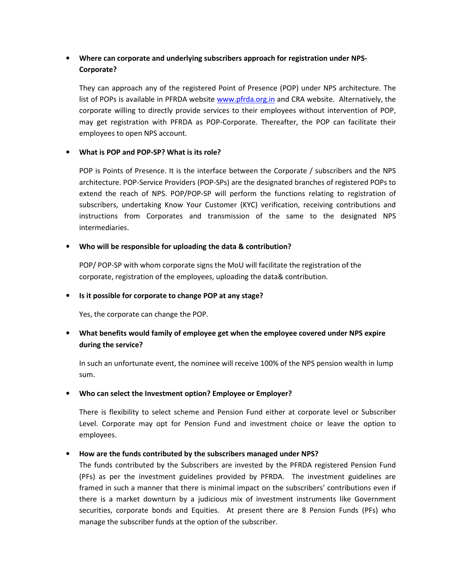# • **Where can corporate and underlying subscribers approach for registration under NPS-Corporate?**

They can approach any of the registered Point of Presence (POP) under NPS architecture. The list of POPs is available in PFRDA website www.pfrda.org.in and CRA website. Alternatively, the corporate willing to directly provide services to their employees without intervention of POP, may get registration with PFRDA as POP-Corporate. Thereafter, the POP can facilitate their employees to open NPS account.

### • **What is POP and POP-SP? What is its role?**

POP is Points of Presence. It is the interface between the Corporate / subscribers and the NPS architecture. POP-Service Providers (POP-SPs) are the designated branches of registered POPs to extend the reach of NPS. POP/POP-SP will perform the functions relating to registration of subscribers, undertaking Know Your Customer (KYC) verification, receiving contributions and instructions from Corporates and transmission of the same to the designated NPS intermediaries.

### • **Who will be responsible for uploading the data & contribution?**

POP/ POP-SP with whom corporate signs the MoU will facilitate the registration of the corporate, registration of the employees, uploading the data& contribution.

### • **Is it possible for corporate to change POP at any stage?**

Yes, the corporate can change the POP.

# • **What benefits would family of employee get when the employee covered under NPS expire during the service?**

In such an unfortunate event, the nominee will receive 100% of the NPS pension wealth in lump sum.

### • **Who can select the Investment option? Employee or Employer?**

There is flexibility to select scheme and Pension Fund either at corporate level or Subscriber Level. Corporate may opt for Pension Fund and investment choice or leave the option to employees.

# • **How are the funds contributed by the subscribers managed under NPS?**

The funds contributed by the Subscribers are invested by the PFRDA registered Pension Fund (PFs) as per the investment guidelines provided by PFRDA. The investment guidelines are framed in such a manner that there is minimal impact on the subscribers' contributions even if there is a market downturn by a judicious mix of investment instruments like Government securities, corporate bonds and Equities. At present there are 8 Pension Funds (PFs) who manage the subscriber funds at the option of the subscriber.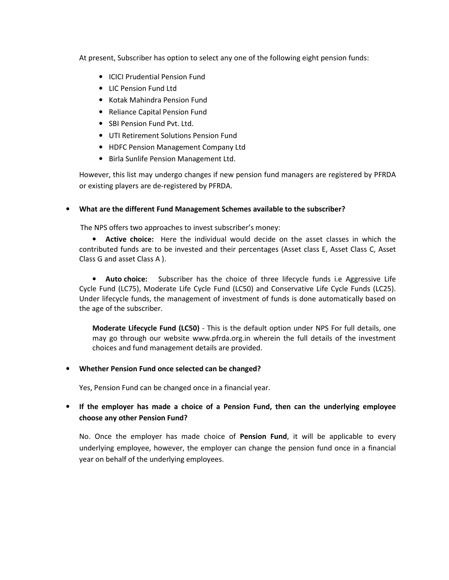At present, Subscriber has option to select any one of the following eight pension funds:

- ICICI Prudential Pension Fund
- LIC Pension Fund Ltd
- Kotak Mahindra Pension Fund
- Reliance Capital Pension Fund
- SBI Pension Fund Pvt. Ltd.
- UTI Retirement Solutions Pension Fund
- HDFC Pension Management Company Ltd
- Birla Sunlife Pension Management Ltd.

However, this list may undergo changes if new pension fund managers are registered by PFRDA or existing players are de-registered by PFRDA.

### • **What are the different Fund Management Schemes available to the subscriber?**

The NPS offers two approaches to invest subscriber's money:

• **Active choice:** Here the individual would decide on the asset classes in which the contributed funds are to be invested and their percentages (Asset class E, Asset Class C, Asset Class G and asset Class A ).

• **Auto choice:** Subscriber has the choice of three lifecycle funds i.e Aggressive Life Cycle Fund (LC75), Moderate Life Cycle Fund (LC50) and Conservative Life Cycle Funds (LC25). Under lifecycle funds, the management of investment of funds is done automatically based on the age of the subscriber.

**Moderate Lifecycle Fund (LC50)** - This is the default option under NPS For full details, one may go through our website www.pfrda.org.in wherein the full details of the investment choices and fund management details are provided.

### • **Whether Pension Fund once selected can be changed?**

Yes, Pension Fund can be changed once in a financial year.

# • **If the employer has made a choice of a Pension Fund, then can the underlying employee choose any other Pension Fund?**

No. Once the employer has made choice of **Pension Fund**, it will be applicable to every underlying employee, however, the employer can change the pension fund once in a financial year on behalf of the underlying employees.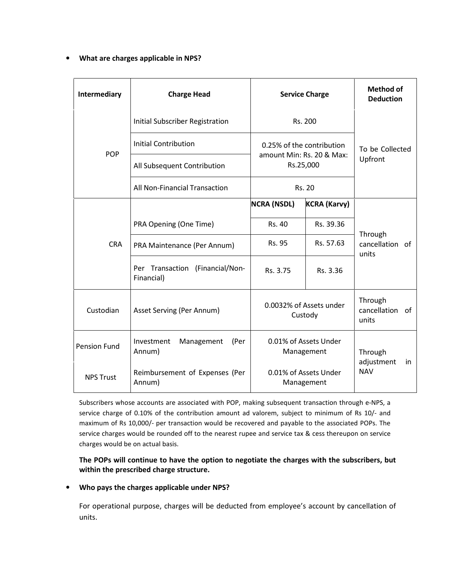### • **What are charges applicable in NPS?**

| Intermediary        | <b>Charge Head</b>                            | <b>Service Charge</b>                                               |                     | <b>Method of</b><br><b>Deduction</b>      |
|---------------------|-----------------------------------------------|---------------------------------------------------------------------|---------------------|-------------------------------------------|
|                     | Initial Subscriber Registration               | Rs. 200                                                             |                     |                                           |
| <b>POP</b>          | <b>Initial Contribution</b>                   | 0.25% of the contribution<br>amount Min: Rs. 20 & Max:<br>Rs.25,000 |                     | To be Collected                           |
|                     | All Subsequent Contribution                   |                                                                     |                     | Upfront                                   |
|                     | All Non-Financial Transaction                 | <b>Rs. 20</b>                                                       |                     |                                           |
| <b>CRA</b>          |                                               | <b>NCRA (NSDL)</b>                                                  | <b>KCRA (Karvy)</b> | Through<br>cancellation of<br>units       |
|                     | PRA Opening (One Time)                        | Rs. 40                                                              | Rs. 39.36           |                                           |
|                     | PRA Maintenance (Per Annum)                   | Rs. 95                                                              | Rs. 57.63           |                                           |
|                     | Per Transaction (Financial/Non-<br>Financial) | Rs. 3.75                                                            | Rs. 3.36            |                                           |
| Custodian           | Asset Serving (Per Annum)                     | 0.0032% of Assets under<br>Custody                                  |                     | Through<br>cancellation of<br>units       |
| <b>Pension Fund</b> | Investment<br>Management<br>(Per<br>Annum)    | 0.01% of Assets Under<br>Management                                 |                     | Through<br>adjustment<br>in<br><b>NAV</b> |
| <b>NPS Trust</b>    | Reimbursement of Expenses (Per<br>Annum)      | 0.01% of Assets Under<br>Management                                 |                     |                                           |

Subscribers whose accounts are associated with POP, making subsequent transaction through e-NPS, a service charge of 0.10% of the contribution amount ad valorem, subject to minimum of Rs 10/- and maximum of Rs 10,000/- per transaction would be recovered and payable to the associated POPs. The service charges would be rounded off to the nearest rupee and service tax & cess thereupon on service charges would be on actual basis.

**The POPs will continue to have the option to negotiate the charges with the subscribers, but within the prescribed charge structure.** 

### • **Who pays the charges applicable under NPS?**

For operational purpose, charges will be deducted from employee's account by cancellation of units.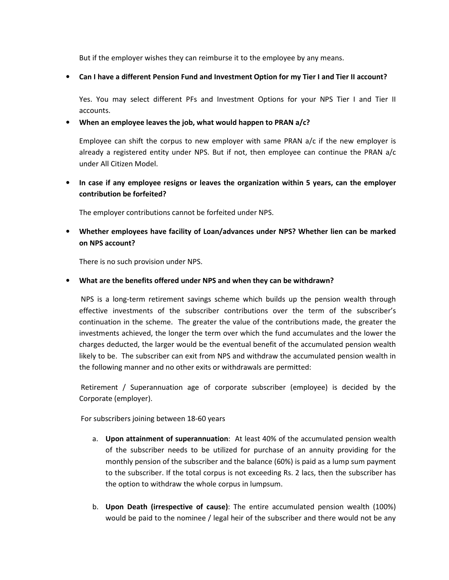But if the employer wishes they can reimburse it to the employee by any means.

• **Can I have a different Pension Fund and Investment Option for my Tier I and Tier II account?** 

Yes. You may select different PFs and Investment Options for your NPS Tier I and Tier II accounts.

• **When an employee leaves the job, what would happen to PRAN a/c?** 

Employee can shift the corpus to new employer with same PRAN a/c if the new employer is already a registered entity under NPS. But if not, then employee can continue the PRAN a/c under All Citizen Model.

• **In case if any employee resigns or leaves the organization within 5 years, can the employer contribution be forfeited?** 

The employer contributions cannot be forfeited under NPS.

• **Whether employees have facility of Loan/advances under NPS? Whether lien can be marked on NPS account?** 

There is no such provision under NPS.

• **What are the benefits offered under NPS and when they can be withdrawn?** 

NPS is a long-term retirement savings scheme which builds up the pension wealth through effective investments of the subscriber contributions over the term of the subscriber's continuation in the scheme. The greater the value of the contributions made, the greater the investments achieved, the longer the term over which the fund accumulates and the lower the charges deducted, the larger would be the eventual benefit of the accumulated pension wealth likely to be. The subscriber can exit from NPS and withdraw the accumulated pension wealth in the following manner and no other exits or withdrawals are permitted:

Retirement / Superannuation age of corporate subscriber (employee) is decided by the Corporate (employer).

For subscribers joining between 18-60 years

- a. **Upon attainment of superannuation**: At least 40% of the accumulated pension wealth of the subscriber needs to be utilized for purchase of an annuity providing for the monthly pension of the subscriber and the balance (60%) is paid as a lump sum payment to the subscriber. If the total corpus is not exceeding Rs. 2 lacs, then the subscriber has the option to withdraw the whole corpus in lumpsum.
- b. **Upon Death (irrespective of cause)**: The entire accumulated pension wealth (100%) would be paid to the nominee / legal heir of the subscriber and there would not be any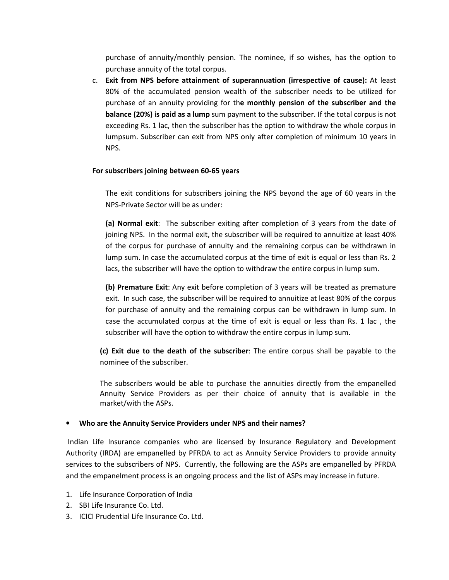purchase of annuity/monthly pension. The nominee, if so wishes, has the option to purchase annuity of the total corpus.

c. **Exit from NPS before attainment of superannuation (irrespective of cause):** At least 80% of the accumulated pension wealth of the subscriber needs to be utilized for purchase of an annuity providing for th**e monthly pension of the subscriber and the balance (20%) is paid as a lump** sum payment to the subscriber. If the total corpus is not exceeding Rs. 1 lac, then the subscriber has the option to withdraw the whole corpus in lumpsum. Subscriber can exit from NPS only after completion of minimum 10 years in NPS.

### **For subscribers joining between 60-65 years**

The exit conditions for subscribers joining the NPS beyond the age of 60 years in the NPS-Private Sector will be as under:

**(a) Normal exit**: The subscriber exiting after completion of 3 years from the date of joining NPS. In the normal exit, the subscriber will be required to annuitize at least 40% of the corpus for purchase of annuity and the remaining corpus can be withdrawn in lump sum. In case the accumulated corpus at the time of exit is equal or less than Rs. 2 lacs, the subscriber will have the option to withdraw the entire corpus in lump sum.

**(b) Premature Exit**: Any exit before completion of 3 years will be treated as premature exit. In such case, the subscriber will be required to annuitize at least 80% of the corpus for purchase of annuity and the remaining corpus can be withdrawn in lump sum. In case the accumulated corpus at the time of exit is equal or less than Rs. 1 lac , the subscriber will have the option to withdraw the entire corpus in lump sum.

**(c) Exit due to the death of the subscriber**: The entire corpus shall be payable to the nominee of the subscriber.

The subscribers would be able to purchase the annuities directly from the empanelled Annuity Service Providers as per their choice of annuity that is available in the market/with the ASPs.

#### • **Who are the Annuity Service Providers under NPS and their names?**

Indian Life Insurance companies who are licensed by Insurance Regulatory and Development Authority (IRDA) are empanelled by PFRDA to act as Annuity Service Providers to provide annuity services to the subscribers of NPS. Currently, the following are the ASPs are empanelled by PFRDA and the empanelment process is an ongoing process and the list of ASPs may increase in future.

- 1. Life Insurance Corporation of India
- 2. SBI Life Insurance Co. Ltd.
- 3. ICICI Prudential Life Insurance Co. Ltd.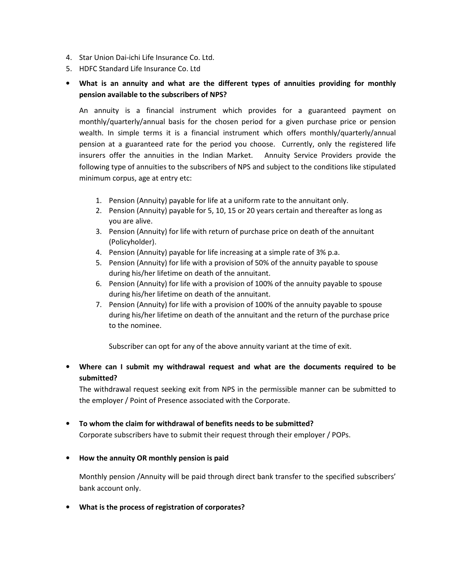- 4. Star Union Dai-ichi Life Insurance Co. Ltd.
- 5. HDFC Standard Life Insurance Co. Ltd
- **What is an annuity and what are the different types of annuities providing for monthly pension available to the subscribers of NPS?**

An annuity is a financial instrument which provides for a guaranteed payment on monthly/quarterly/annual basis for the chosen period for a given purchase price or pension wealth. In simple terms it is a financial instrument which offers monthly/quarterly/annual pension at a guaranteed rate for the period you choose. Currently, only the registered life insurers offer the annuities in the Indian Market. Annuity Service Providers provide the following type of annuities to the subscribers of NPS and subject to the conditions like stipulated minimum corpus, age at entry etc:

- 1. Pension (Annuity) payable for life at a uniform rate to the annuitant only.
- 2. Pension (Annuity) payable for 5, 10, 15 or 20 years certain and thereafter as long as you are alive.
- 3. Pension (Annuity) for life with return of purchase price on death of the annuitant (Policyholder).
- 4. Pension (Annuity) payable for life increasing at a simple rate of 3% p.a.
- 5. Pension (Annuity) for life with a provision of 50% of the annuity payable to spouse during his/her lifetime on death of the annuitant.
- 6. Pension (Annuity) for life with a provision of 100% of the annuity payable to spouse during his/her lifetime on death of the annuitant.
- 7. Pension (Annuity) for life with a provision of 100% of the annuity payable to spouse during his/her lifetime on death of the annuitant and the return of the purchase price to the nominee.

Subscriber can opt for any of the above annuity variant at the time of exit.

# • **Where can I submit my withdrawal request and what are the documents required to be submitted?**

The withdrawal request seeking exit from NPS in the permissible manner can be submitted to the employer / Point of Presence associated with the Corporate.

### • **To whom the claim for withdrawal of benefits needs to be submitted?**

Corporate subscribers have to submit their request through their employer / POPs.

• **How the annuity OR monthly pension is paid** 

Monthly pension /Annuity will be paid through direct bank transfer to the specified subscribers' bank account only.

• **What is the process of registration of corporates?**